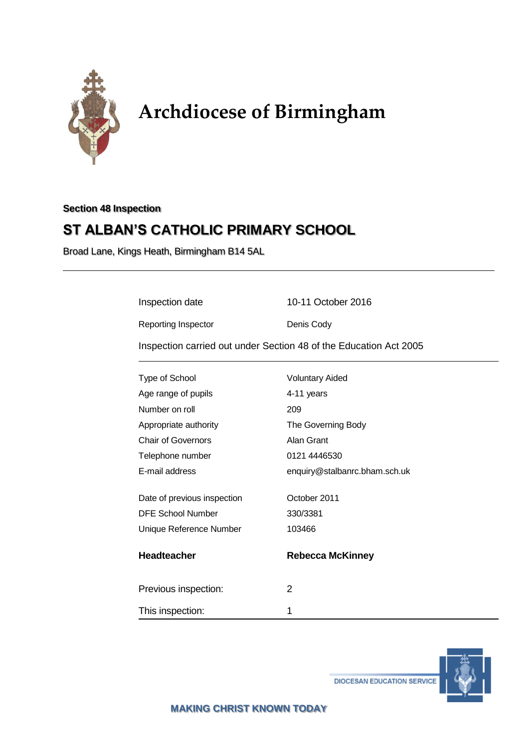

# **Archdiocese of Birmingham**

# **Section 48 Inspection**

# **ST ALBAN'S CATHOLIC PRIMARY SCHOOL**

Broad Lane, Kings Heath, Birmingham B14 5AL

| Inspection date                                                   | 10-11 October 2016            |
|-------------------------------------------------------------------|-------------------------------|
| Reporting Inspector                                               | Denis Cody                    |
| Inspection carried out under Section 48 of the Education Act 2005 |                               |
| Type of School                                                    | <b>Voluntary Aided</b>        |
| Age range of pupils                                               | 4-11 years                    |
| Number on roll                                                    | 209                           |
| Appropriate authority                                             | The Governing Body            |
| <b>Chair of Governors</b>                                         | Alan Grant                    |
| Telephone number                                                  | 0121 4446530                  |
| E-mail address                                                    | enquiry@stalbanrc.bham.sch.uk |
| Date of previous inspection                                       | October 2011                  |
| <b>DFE School Number</b>                                          | 330/3381                      |
| Unique Reference Number                                           | 103466                        |
| <b>Headteacher</b>                                                | <b>Rebecca McKinney</b>       |
| Previous inspection:                                              | 2                             |
| This inspection:                                                  | 1                             |

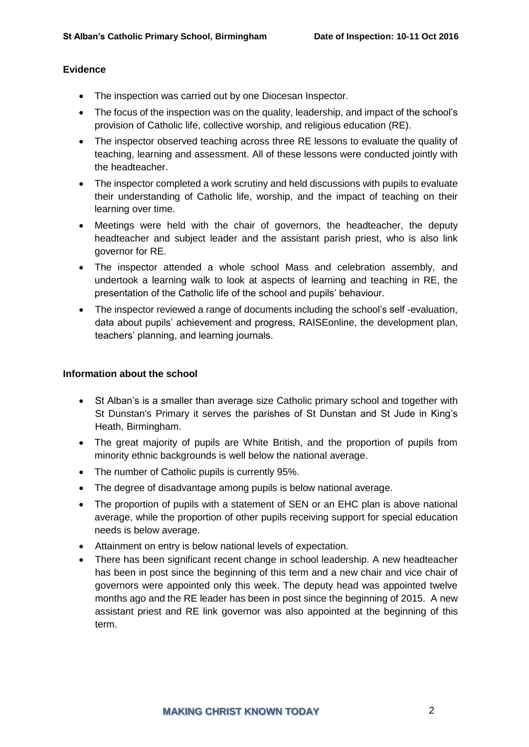#### **Evidence**

- The inspection was carried out by one Diocesan Inspector.
- The focus of the inspection was on the quality, leadership, and impact of the school's provision of Catholic life, collective worship, and religious education (RE).
- The inspector observed teaching across three RE lessons to evaluate the quality of teaching, learning and assessment. All of these lessons were conducted jointly with the headteacher.
- The inspector completed a work scrutiny and held discussions with pupils to evaluate their understanding of Catholic life, worship, and the impact of teaching on their learning over time.
- Meetings were held with the chair of governors, the headteacher, the deputy headteacher and subject leader and the assistant parish priest, who is also link governor for RE.
- The inspector attended a whole school Mass and celebration assembly, and undertook a learning walk to look at aspects of learning and teaching in RE, the presentation of the Catholic life of the school and pupils' behaviour.
- The inspector reviewed a range of documents including the school's self -evaluation, data about pupils' achievement and progress, RAISEonline, the development plan, teachers' planning, and learning journals.

#### **Information about the school**

- St Alban's is a smaller than average size Catholic primary school and together with St Dunstan's Primary it serves the parishes of St Dunstan and St Jude in King's Heath, Birmingham.
- The great majority of pupils are White British, and the proportion of pupils from minority ethnic backgrounds is well below the national average.
- The number of Catholic pupils is currently 95%.
- The degree of disadvantage among pupils is below national average.
- The proportion of pupils with a statement of SEN or an EHC plan is above national average, while the proportion of other pupils receiving support for special education needs is below average.
- Attainment on entry is below national levels of expectation.
- There has been significant recent change in school leadership. A new headteacher has been in post since the beginning of this term and a new chair and vice chair of governors were appointed only this week. The deputy head was appointed twelve months ago and the RE leader has been in post since the beginning of 2015. A new assistant priest and RE link governor was also appointed at the beginning of this term.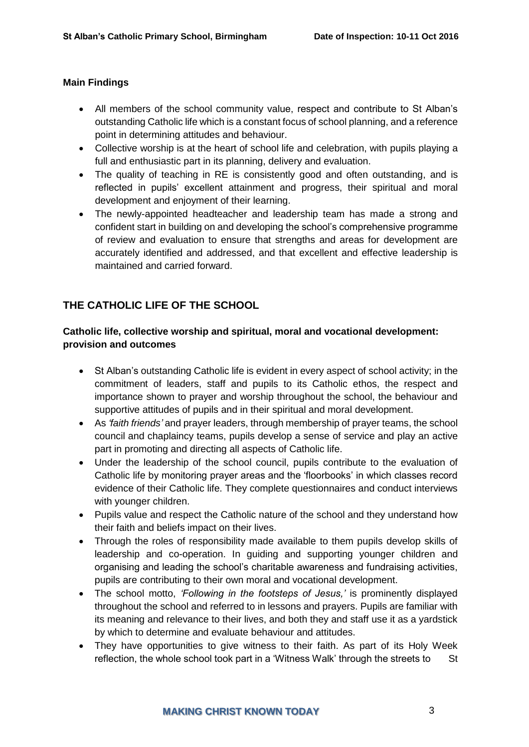#### **Main Findings**

- All members of the school community value, respect and contribute to St Alban's outstanding Catholic life which is a constant focus of school planning, and a reference point in determining attitudes and behaviour.
- Collective worship is at the heart of school life and celebration, with pupils playing a full and enthusiastic part in its planning, delivery and evaluation.
- The quality of teaching in RE is consistently good and often outstanding, and is reflected in pupils' excellent attainment and progress, their spiritual and moral development and enjoyment of their learning.
- The newly-appointed headteacher and leadership team has made a strong and confident start in building on and developing the school's comprehensive programme of review and evaluation to ensure that strengths and areas for development are accurately identified and addressed, and that excellent and effective leadership is maintained and carried forward.

# **THE CATHOLIC LIFE OF THE SCHOOL**

## **Catholic life, collective worship and spiritual, moral and vocational development: provision and outcomes**

- St Alban's outstanding Catholic life is evident in every aspect of school activity; in the commitment of leaders, staff and pupils to its Catholic ethos, the respect and importance shown to prayer and worship throughout the school, the behaviour and supportive attitudes of pupils and in their spiritual and moral development.
- As *'faith friends'* and prayer leaders, through membership of prayer teams, the school council and chaplaincy teams, pupils develop a sense of service and play an active part in promoting and directing all aspects of Catholic life.
- Under the leadership of the school council, pupils contribute to the evaluation of Catholic life by monitoring prayer areas and the 'floorbooks' in which classes record evidence of their Catholic life. They complete questionnaires and conduct interviews with younger children.
- Pupils value and respect the Catholic nature of the school and they understand how their faith and beliefs impact on their lives.
- Through the roles of responsibility made available to them pupils develop skills of leadership and co-operation. In guiding and supporting younger children and organising and leading the school's charitable awareness and fundraising activities, pupils are contributing to their own moral and vocational development.
- The school motto, *'Following in the footsteps of Jesus,'* is prominently displayed throughout the school and referred to in lessons and prayers. Pupils are familiar with its meaning and relevance to their lives, and both they and staff use it as a yardstick by which to determine and evaluate behaviour and attitudes.
- They have opportunities to give witness to their faith. As part of its Holy Week reflection, the whole school took part in a 'Witness Walk' through the streets to St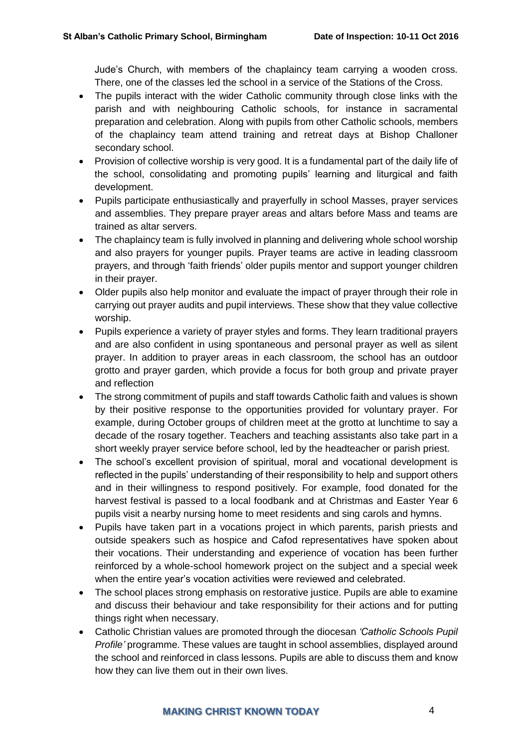Jude's Church, with members of the chaplaincy team carrying a wooden cross. There, one of the classes led the school in a service of the Stations of the Cross.

- The pupils interact with the wider Catholic community through close links with the parish and with neighbouring Catholic schools, for instance in sacramental preparation and celebration. Along with pupils from other Catholic schools, members of the chaplaincy team attend training and retreat days at Bishop Challoner secondary school.
- Provision of collective worship is very good. It is a fundamental part of the daily life of the school, consolidating and promoting pupils' learning and liturgical and faith development.
- Pupils participate enthusiastically and prayerfully in school Masses, prayer services and assemblies. They prepare prayer areas and altars before Mass and teams are trained as altar servers.
- The chaplaincy team is fully involved in planning and delivering whole school worship and also prayers for younger pupils. Prayer teams are active in leading classroom prayers, and through 'faith friends' older pupils mentor and support younger children in their prayer.
- Older pupils also help monitor and evaluate the impact of prayer through their role in carrying out prayer audits and pupil interviews. These show that they value collective worship.
- Pupils experience a variety of prayer styles and forms. They learn traditional prayers and are also confident in using spontaneous and personal prayer as well as silent prayer. In addition to prayer areas in each classroom, the school has an outdoor grotto and prayer garden, which provide a focus for both group and private prayer and reflection
- The strong commitment of pupils and staff towards Catholic faith and values is shown by their positive response to the opportunities provided for voluntary prayer. For example, during October groups of children meet at the grotto at lunchtime to say a decade of the rosary together. Teachers and teaching assistants also take part in a short weekly prayer service before school, led by the headteacher or parish priest.
- The school's excellent provision of spiritual, moral and vocational development is reflected in the pupils' understanding of their responsibility to help and support others and in their willingness to respond positively. For example, food donated for the harvest festival is passed to a local foodbank and at Christmas and Easter Year 6 pupils visit a nearby nursing home to meet residents and sing carols and hymns.
- Pupils have taken part in a vocations project in which parents, parish priests and outside speakers such as hospice and Cafod representatives have spoken about their vocations. Their understanding and experience of vocation has been further reinforced by a whole-school homework project on the subject and a special week when the entire year's vocation activities were reviewed and celebrated.
- The school places strong emphasis on restorative justice. Pupils are able to examine and discuss their behaviour and take responsibility for their actions and for putting things right when necessary.
- Catholic Christian values are promoted through the diocesan *'Catholic Schools Pupil Profile'* programme. These values are taught in school assemblies, displayed around the school and reinforced in class lessons. Pupils are able to discuss them and know how they can live them out in their own lives.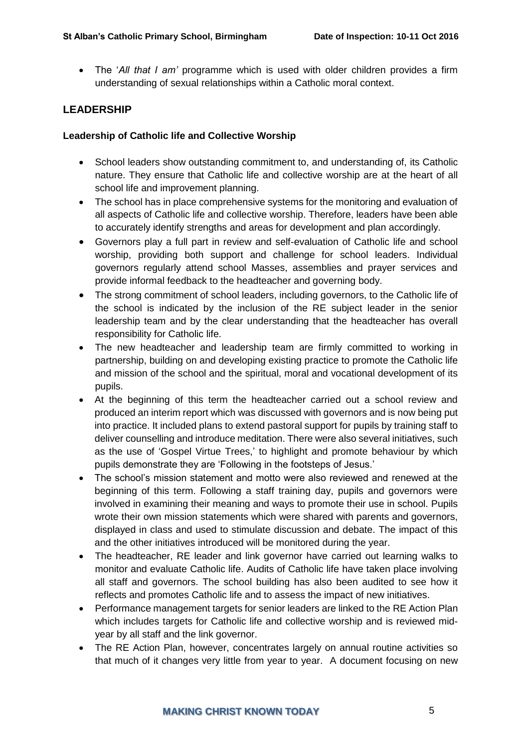The '*All that I am'* programme which is used with older children provides a firm understanding of sexual relationships within a Catholic moral context.

## **LEADERSHIP**

#### **Leadership of Catholic life and Collective Worship**

- School leaders show outstanding commitment to, and understanding of, its Catholic nature. They ensure that Catholic life and collective worship are at the heart of all school life and improvement planning.
- The school has in place comprehensive systems for the monitoring and evaluation of all aspects of Catholic life and collective worship. Therefore, leaders have been able to accurately identify strengths and areas for development and plan accordingly.
- Governors play a full part in review and self-evaluation of Catholic life and school worship, providing both support and challenge for school leaders. Individual governors regularly attend school Masses, assemblies and prayer services and provide informal feedback to the headteacher and governing body.
- The strong commitment of school leaders, including governors, to the Catholic life of the school is indicated by the inclusion of the RE subject leader in the senior leadership team and by the clear understanding that the headteacher has overall responsibility for Catholic life.
- The new headteacher and leadership team are firmly committed to working in partnership, building on and developing existing practice to promote the Catholic life and mission of the school and the spiritual, moral and vocational development of its pupils.
- At the beginning of this term the headteacher carried out a school review and produced an interim report which was discussed with governors and is now being put into practice. It included plans to extend pastoral support for pupils by training staff to deliver counselling and introduce meditation. There were also several initiatives, such as the use of 'Gospel Virtue Trees,' to highlight and promote behaviour by which pupils demonstrate they are 'Following in the footsteps of Jesus.'
- The school's mission statement and motto were also reviewed and renewed at the beginning of this term. Following a staff training day, pupils and governors were involved in examining their meaning and ways to promote their use in school. Pupils wrote their own mission statements which were shared with parents and governors, displayed in class and used to stimulate discussion and debate. The impact of this and the other initiatives introduced will be monitored during the year.
- The headteacher, RE leader and link governor have carried out learning walks to monitor and evaluate Catholic life. Audits of Catholic life have taken place involving all staff and governors. The school building has also been audited to see how it reflects and promotes Catholic life and to assess the impact of new initiatives.
- Performance management targets for senior leaders are linked to the RE Action Plan which includes targets for Catholic life and collective worship and is reviewed midyear by all staff and the link governor.
- The RE Action Plan, however, concentrates largely on annual routine activities so that much of it changes very little from year to year. A document focusing on new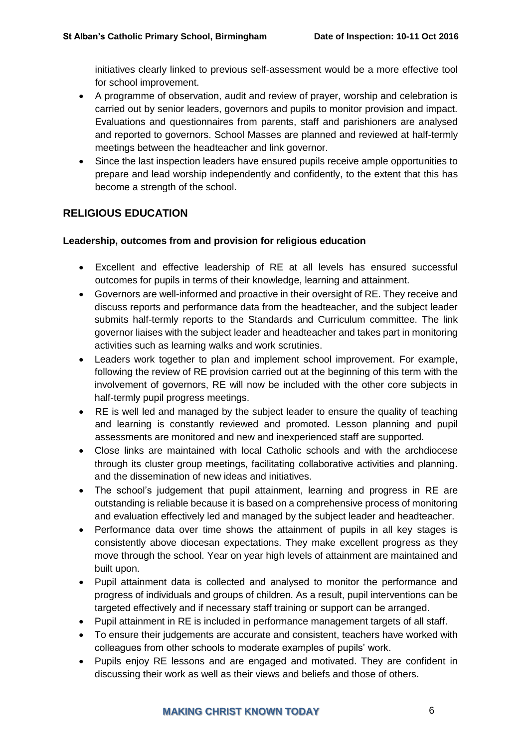initiatives clearly linked to previous self-assessment would be a more effective tool for school improvement.

- A programme of observation, audit and review of prayer, worship and celebration is carried out by senior leaders, governors and pupils to monitor provision and impact. Evaluations and questionnaires from parents, staff and parishioners are analysed and reported to governors. School Masses are planned and reviewed at half-termly meetings between the headteacher and link governor.
- Since the last inspection leaders have ensured pupils receive ample opportunities to prepare and lead worship independently and confidently, to the extent that this has become a strength of the school.

# **RELIGIOUS EDUCATION**

#### **Leadership, outcomes from and provision for religious education**

- Excellent and effective leadership of RE at all levels has ensured successful outcomes for pupils in terms of their knowledge, learning and attainment.
- Governors are well-informed and proactive in their oversight of RE. They receive and discuss reports and performance data from the headteacher, and the subject leader submits half-termly reports to the Standards and Curriculum committee. The link governor liaises with the subject leader and headteacher and takes part in monitoring activities such as learning walks and work scrutinies.
- Leaders work together to plan and implement school improvement. For example, following the review of RE provision carried out at the beginning of this term with the involvement of governors, RE will now be included with the other core subjects in half-termly pupil progress meetings.
- RE is well led and managed by the subject leader to ensure the quality of teaching and learning is constantly reviewed and promoted. Lesson planning and pupil assessments are monitored and new and inexperienced staff are supported.
- Close links are maintained with local Catholic schools and with the archdiocese through its cluster group meetings, facilitating collaborative activities and planning. and the dissemination of new ideas and initiatives.
- The school's judgement that pupil attainment, learning and progress in RE are outstanding is reliable because it is based on a comprehensive process of monitoring and evaluation effectively led and managed by the subject leader and headteacher.
- Performance data over time shows the attainment of pupils in all key stages is consistently above diocesan expectations. They make excellent progress as they move through the school. Year on year high levels of attainment are maintained and built upon.
- Pupil attainment data is collected and analysed to monitor the performance and progress of individuals and groups of children. As a result, pupil interventions can be targeted effectively and if necessary staff training or support can be arranged.
- Pupil attainment in RE is included in performance management targets of all staff.
- To ensure their judgements are accurate and consistent, teachers have worked with colleagues from other schools to moderate examples of pupils' work.
- Pupils enjoy RE lessons and are engaged and motivated. They are confident in discussing their work as well as their views and beliefs and those of others.